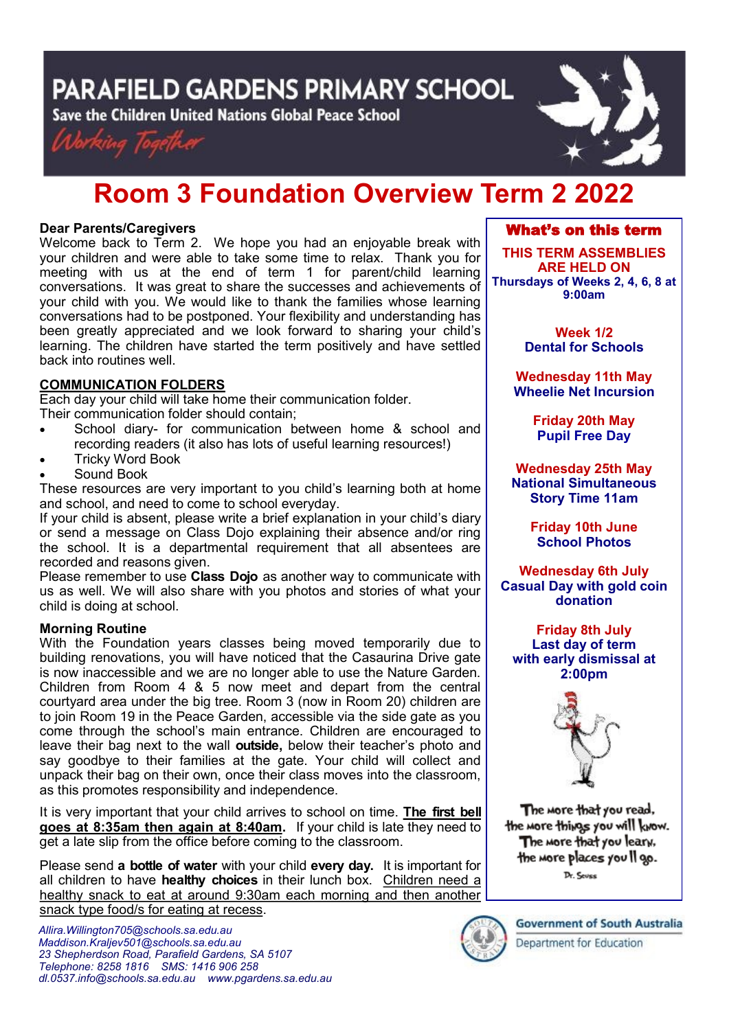PARAFIELD GARDENS PRIMARY SCHOOL

Save the Children United Nations Global Peace School





# **Room 3 Foundation Overview Term 2 2022**

# **Dear Parents/Caregivers**

Welcome back to Term 2. We hope you had an enjoyable break with your children and were able to take some time to relax. Thank you for meeting with us at the end of term 1 for parent/child learning conversations. It was great to share the successes and achievements of your child with you. We would like to thank the families whose learning conversations had to be postponed. Your flexibility and understanding has been greatly appreciated and we look forward to sharing your child's learning. The children have started the term positively and have settled back into routines well.

# **COMMUNICATION FOLDERS**

Each day your child will take home their communication folder. Their communication folder should contain;

- School diary- for communication between home & school and recording readers (it also has lots of useful learning resources!)
- Tricky Word Book
- Sound Book

These resources are very important to you child's learning both at home and school, and need to come to school everyday.

If your child is absent, please write a brief explanation in your child's diary or send a message on Class Dojo explaining their absence and/or ring the school. It is a departmental requirement that all absentees are recorded and reasons given.

Please remember to use **Class Dojo** as another way to communicate with us as well. We will also share with you photos and stories of what your child is doing at school.

## **Morning Routine**

With the Foundation years classes being moved temporarily due to building renovations, you will have noticed that the Casaurina Drive gate is now inaccessible and we are no longer able to use the Nature Garden. Children from Room 4 & 5 now meet and depart from the central courtyard area under the big tree. Room 3 (now in Room 20) children are to join Room 19 in the Peace Garden, accessible via the side gate as you come through the school's main entrance. Children are encouraged to leave their bag next to the wall **outside,** below their teacher's photo and say goodbye to their families at the gate. Your child will collect and unpack their bag on their own, once their class moves into the classroom, as this promotes responsibility and independence.

It is very important that your child arrives to school on time. **The first bell goes at 8:35am then again at 8:40am.** If your child is late they need to get a late slip from the office before coming to the classroom.

Please send **a bottle of water** with your child **every day.** It is important for all children to have **healthy choices** in their lunch box. Children need a healthy snack to eat at around 9:30am each morning and then another snack type food/s for eating at recess.

# What's on this term

**THIS TERM ASSEMBLIES ARE HELD ON Thursdays of Weeks 2, 4, 6, 8 at 9:00am** 

> **Week 1/2 Dental for Schools**

**Wednesday 11th May Wheelie Net Incursion**

> **Friday 20th May Pupil Free Day**

**Wednesday 25th May National Simultaneous Story Time 11am**

> **Friday 10th June School Photos**

**Wednesday 6th July Casual Day with gold coin donation**

**Friday 8th July Last day of term with early dismissal at 2:00pm**



The more that you read. the more things you will know. The more that you leary, the more places you Il go. Dr. Sevss

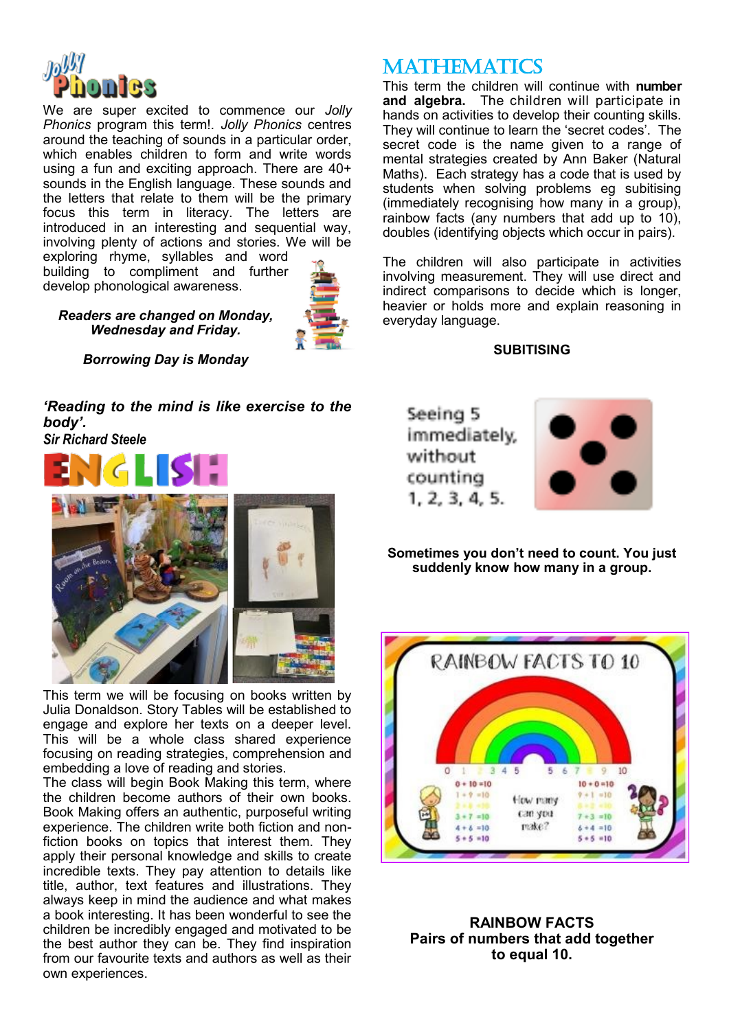

We are super excited to commence our *Jolly Phonics* program this term!*. Jolly Phonics* centres around the teaching of sounds in a particular order, which enables children to form and write words using a fun and exciting approach. There are 40+ sounds in the English language. These sounds and the letters that relate to them will be the primary focus this term in literacy. The letters are introduced in an interesting and sequential way, involving plenty of actions and stories. We will be

exploring rhyme, syllables and word building to compliment and further develop phonological awareness.



*Readers are changed on Monday, Wednesday and Friday.* 



*'Reading to the mind is like exercise to the body'.* 

*Sir Richard Steele*



This term we will be focusing on books written by Julia Donaldson. Story Tables will be established to engage and explore her texts on a deeper level. This will be a whole class shared experience focusing on reading strategies, comprehension and embedding a love of reading and stories.

The class will begin Book Making this term, where the children become authors of their own books. Book Making offers an authentic, purposeful writing experience. The children write both fiction and nonfiction books on topics that interest them. They apply their personal knowledge and skills to create incredible texts. They pay attention to details like title, author, text features and illustrations. They always keep in mind the audience and what makes a book interesting. It has been wonderful to see the children be incredibly engaged and motivated to be the best author they can be. They find inspiration from our favourite texts and authors as well as their own experiences.

# **MATHEMATICS**

This term the children will continue with **number and algebra.** The children will participate in hands on activities to develop their counting skills. They will continue to learn the 'secret codes'. The secret code is the name given to a range of mental strategies created by Ann Baker (Natural Maths). Each strategy has a code that is used by students when solving problems eg subitising (immediately recognising how many in a group), rainbow facts (any numbers that add up to 10), doubles (identifying objects which occur in pairs).

The children will also participate in activities involving measurement. They will use direct and indirect comparisons to decide which is longer, heavier or holds more and explain reasoning in everyday language.

**SUBITISING**

Seeing 5 immediately. without counting  $1, 2, 3, 4, 5.$ 



**Sometimes you don't need to count. You just suddenly know how many in a group.** 



**RAINBOW FACTS Pairs of numbers that add together to equal 10.**